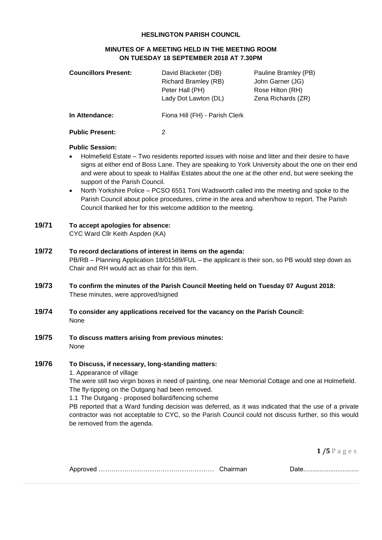#### **HESLINGTON PARISH COUNCIL**

### **MINUTES OF A MEETING HELD IN THE MEETING ROOM ON TUESDAY 18 SEPTEMBER 2018 AT 7.30PM**

| <b>Councillors Present:</b> | David Blacketer (DB)<br>Pauline Bramley (PB) |                    |
|-----------------------------|----------------------------------------------|--------------------|
|                             | <b>Richard Bramley (RB)</b>                  | John Garner (JG)   |
|                             | Peter Hall (PH)                              | Rose Hilton (RH)   |
|                             | Lady Dot Lawton (DL)                         | Zena Richards (ZR) |
| In Attendance:              | Fiona Hill (FH) - Parish Clerk               |                    |
| <b>Public Present:</b>      |                                              |                    |

#### **Public Session:**

- Holmefield Estate Two residents reported issues with noise and litter and their desire to have signs at either end of Boss Lane. They are speaking to York University about the one on their end and were about to speak to Halifax Estates about the one at the other end, but were seeking the support of the Parish Council.
- North Yorkshire Police PCSO 6551 Toni Wadsworth called into the meeting and spoke to the Parish Council about police procedures, crime in the area and when/how to report. The Parish Council thanked her for this welcome addition to the meeting.

### **19/71 To accept apologies for absence:** CYC Ward Cllr Keith Aspden (KA)

## **19/72 To record declarations of interest in items on the agenda:** PB/RB – Planning Application 18/01589/FUL – the applicant is their son, so PB would step down as Chair and RH would act as chair for this item.

- **19/73 To confirm the minutes of the Parish Council Meeting held on Tuesday 07 August 2018:** These minutes, were approved/signed
- **19/74 To consider any applications received for the vacancy on the Parish Council:** None
- **19/75 To discuss matters arising from previous minutes:** None

## **19/76 To Discuss, if necessary, long-standing matters:**

1. Appearance of village

The were still two virgin boxes in need of painting, one near Memorial Cottage and one at Holmefield. The fly-tipping on the Outgang had been removed.

1.1 The Outgang - proposed bollard/fencing scheme

PB reported that a Ward funding decision was deferred, as it was indicated that the use of a private contractor was not acceptable to CYC, so the Parish Council could not discuss further, so this would be removed from the agenda.

| . IN F |  |  |
|--------|--|--|
|--------|--|--|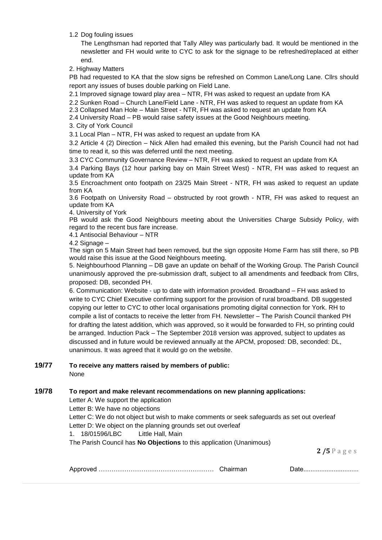1.2 Dog fouling issues

The Lengthsman had reported that Tally Alley was particularly bad. It would be mentioned in the newsletter and FH would write to CYC to ask for the signage to be refreshed/replaced at either end.

2. Highway Matters

PB had requested to KA that the slow signs be refreshed on Common Lane/Long Lane. Cllrs should report any issues of buses double parking on Field Lane.

2.1 Improved signage toward play area – NTR, FH was asked to request an update from KA

2.2 Sunken Road – Church Lane/Field Lane - NTR, FH was asked to request an update from KA

2.3 Collapsed Man Hole – Main Street - NTR, FH was asked to request an update from KA

2.4 University Road – PB would raise safety issues at the Good Neighbours meeting.

3. City of York Council

3.1 Local Plan – NTR, FH was asked to request an update from KA

3.2 Article 4 (2) Direction – Nick Allen had emailed this evening, but the Parish Council had not had time to read it, so this was deferred until the next meeting.

3.3 CYC Community Governance Review – NTR, FH was asked to request an update from KA

3.4 Parking Bays (12 hour parking bay on Main Street West) - NTR, FH was asked to request an update from KA

3.5 Encroachment onto footpath on 23/25 Main Street - NTR, FH was asked to request an update from KA

3.6 Footpath on University Road – obstructed by root growth - NTR, FH was asked to request an update from KA

4. University of York

PB would ask the Good Neighbours meeting about the Universities Charge Subsidy Policy, with regard to the recent bus fare increase.

4.1 Antisocial Behaviour – NTR

4.2 Signage -

The sign on 5 Main Street had been removed, but the sign opposite Home Farm has still there, so PB would raise this issue at the Good Neighbours meeting.

5. Neighbourhood Planning – DB gave an update on behalf of the Working Group. The Parish Council unanimously approved the pre-submission draft, subject to all amendments and feedback from Cllrs, proposed: DB, seconded PH.

6. Communication: Website - up to date with information provided. Broadband – FH was asked to write to CYC Chief Executive confirming support for the provision of rural broadband. DB suggested copying our letter to CYC to other local organisations promoting digital connection for York. RH to compile a list of contacts to receive the letter from FH. Newsletter – The Parish Council thanked PH for drafting the latest addition, which was approved, so it would be forwarded to FH, so printing could be arranged. Induction Pack – The September 2018 version was approved, subject to updates as discussed and in future would be reviewed annually at the APCM, proposed: DB, seconded: DL, unanimous. It was agreed that it would go on the website.

#### **19/77 To receive any matters raised by members of public:**

None

### **19/78 To report and make relevant recommendations on new planning applications:**

Letter A: We support the application

Letter B: We have no objections

Letter C: We do not object but wish to make comments or seek safeguards as set out overleaf Letter D: We object on the planning grounds set out overleaf

1. 18/01596/LBC Little Hall, Main

The Parish Council has **No Objections** to this application (Unanimous)

|  |  | <u>Dalv</u> |
|--|--|-------------|
|--|--|-------------|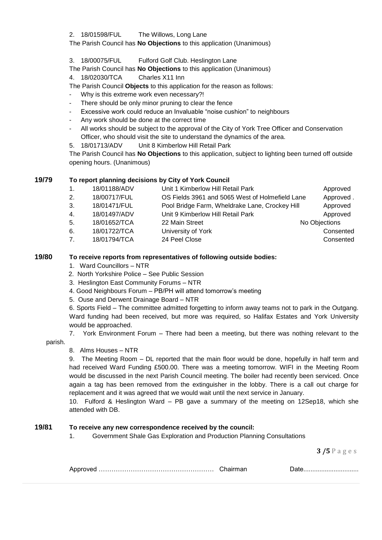2. 18/01598/FUL The Willows, Long Lane

## The Parish Council has **No Objections** to this application (Unanimous)

- 3. 18/00075/FUL Fulford Golf Club. Heslington Lane
- The Parish Council has **No Objections** to this application (Unanimous)

4. 18/02030/TCA Charles X11 Inn

- The Parish Council **Objects** to this application for the reason as follows:
- Why is this extreme work even necessary?!
- There should be only minor pruning to clear the fence
- Excessive work could reduce an Invaluable "noise cushion" to neighbours
- Any work should be done at the correct time
- All works should be subject to the approval of the City of York Tree Officer and Conservation Officer, who should visit the site to understand the dynamics of the area.
- 5. 18/01713/ADV Unit 8 Kimberlow Hill Retail Park

The Parish Council has **No Objections** to this application, subject to lighting been turned off outside opening hours. (Unanimous)

## **19/79 To report planning decisions by City of York Council**

| 1. | 18/01188/ADV | Unit 1 Kimberlow Hill Retail Park               | Approved      |
|----|--------------|-------------------------------------------------|---------------|
| 2. | 18/00717/FUL | OS Fields 3961 and 5065 West of Holmefield Lane | Approved.     |
| 3. | 18/01471/FUL | Pool Bridge Farm, Wheldrake Lane, Crockey Hill  | Approved      |
| 4. | 18/01497/ADV | Unit 9 Kimberlow Hill Retail Park               | Approved      |
| 5. | 18/01652/TCA | 22 Main Street                                  | No Objections |
| 6. | 18/01722/TCA | University of York                              | Consented     |
| 7. | 18/01794/TCA | 24 Peel Close                                   | Consented     |
|    |              |                                                 |               |

# **19/80 To receive reports from representatives of following outside bodies:**

- 1. Ward Councillors NTR
- 2. North Yorkshire Police See Public Session
- 3. Heslington East Community Forums NTR
- 4. Good Neighbours Forum PB/PH will attend tomorrow's meeting
- 5. Ouse and Derwent Drainage Board NTR

6. Sports Field – The committee admitted forgetting to inform away teams not to park in the Outgang. Ward funding had been received, but more was required, so Halifax Estates and York University would be approached.

7. York Environment Forum – There had been a meeting, but there was nothing relevant to the

# parish.

8. Alms Houses – NTR

9. The Meeting Room – DL reported that the main floor would be done, hopefully in half term and had received Ward Funding £500.00. There was a meeting tomorrow. WIFI in the Meeting Room would be discussed in the next Parish Council meeting. The boiler had recently been serviced. Once again a tag has been removed from the extinguisher in the lobby. There is a call out charge for replacement and it was agreed that we would wait until the next service in January.

10. Fulford & Heslington Ward – PB gave a summary of the meeting on 12Sep18, which she attended with DB.

## **19/81 To receive any new correspondence received by the council:**

1. Government Shale Gas Exploration and Production Planning Consultations

|  |  | 100 |
|--|--|-----|
|--|--|-----|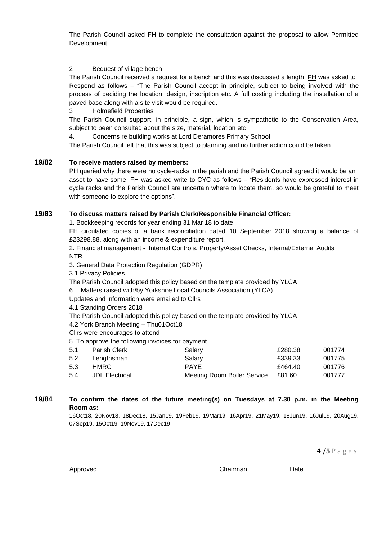The Parish Council asked **FH** to complete the consultation against the proposal to allow Permitted Development.

### 2 Bequest of village bench

The Parish Council received a request for a bench and this was discussed a length. **FH** was asked to Respond as follows – "The Parish Council accept in principle, subject to being involved with the process of deciding the location, design, inscription etc. A full costing including the installation of a paved base along with a site visit would be required.

3 Holmefield Properties

The Parish Council support, in principle, a sign, which is sympathetic to the Conservation Area, subject to been consulted about the size, material, location etc.

4. Concerns re building works at Lord Deramores Primary School

The Parish Council felt that this was subject to planning and no further action could be taken.

### **19/82 To receive matters raised by members:**

PH queried why there were no cycle-racks in the parish and the Parish Council agreed it would be an asset to have some. FH was asked write to CYC as follows – "Residents have expressed interest in cycle racks and the Parish Council are uncertain where to locate them, so would be grateful to meet with someone to explore the options".

## **19/83 To discuss matters raised by Parish Clerk/Responsible Financial Officer:**

1. Bookkeeping records for year ending 31 Mar 18 to date

FH circulated copies of a bank reconciliation dated 10 September 2018 showing a balance of £23298.88, along with an income & expenditure report.

2. Financial management - Internal Controls, Property/Asset Checks, Internal/External Audits NTR

3. General Data Protection Regulation (GDPR)

3.1 Privacy Policies

The Parish Council adopted this policy based on the template provided by YLCA

6. Matters raised with/by Yorkshire Local Councils Association (YLCA)

Updates and information were emailed to Cllrs

4.1 Standing Orders 2018

The Parish Council adopted this policy based on the template provided by YLCA

4.2 York Branch Meeting – Thu01Oct18

Cllrs were encourages to attend

5. To approve the following invoices for payment

| 5.1 | Parish Clerk   | Salary                             | £280.38 | 001774 |
|-----|----------------|------------------------------------|---------|--------|
| 5.2 | Lengthsman     | Salary                             | £339.33 | 001775 |
| 5.3 | HMRC.          | <b>PAYF</b>                        | £464.40 | 001776 |
| 5.4 | JDL Electrical | Meeting Room Boiler Service £81.60 |         | 001777 |

### **19/84 To confirm the dates of the future meeting(s) on Tuesdays at 7.30 p.m. in the Meeting Room as:**

16Oct18, 20Nov18, 18Dec18, 15Jan19, 19Feb19, 19Mar19, 16Apr19, 21May19, 18Jun19, 16Jul19, 20Aug19, 07Sep19, 15Oct19, 19Nov19, 17Dec19

|  |  | <u>Dalv</u> |
|--|--|-------------|
|--|--|-------------|